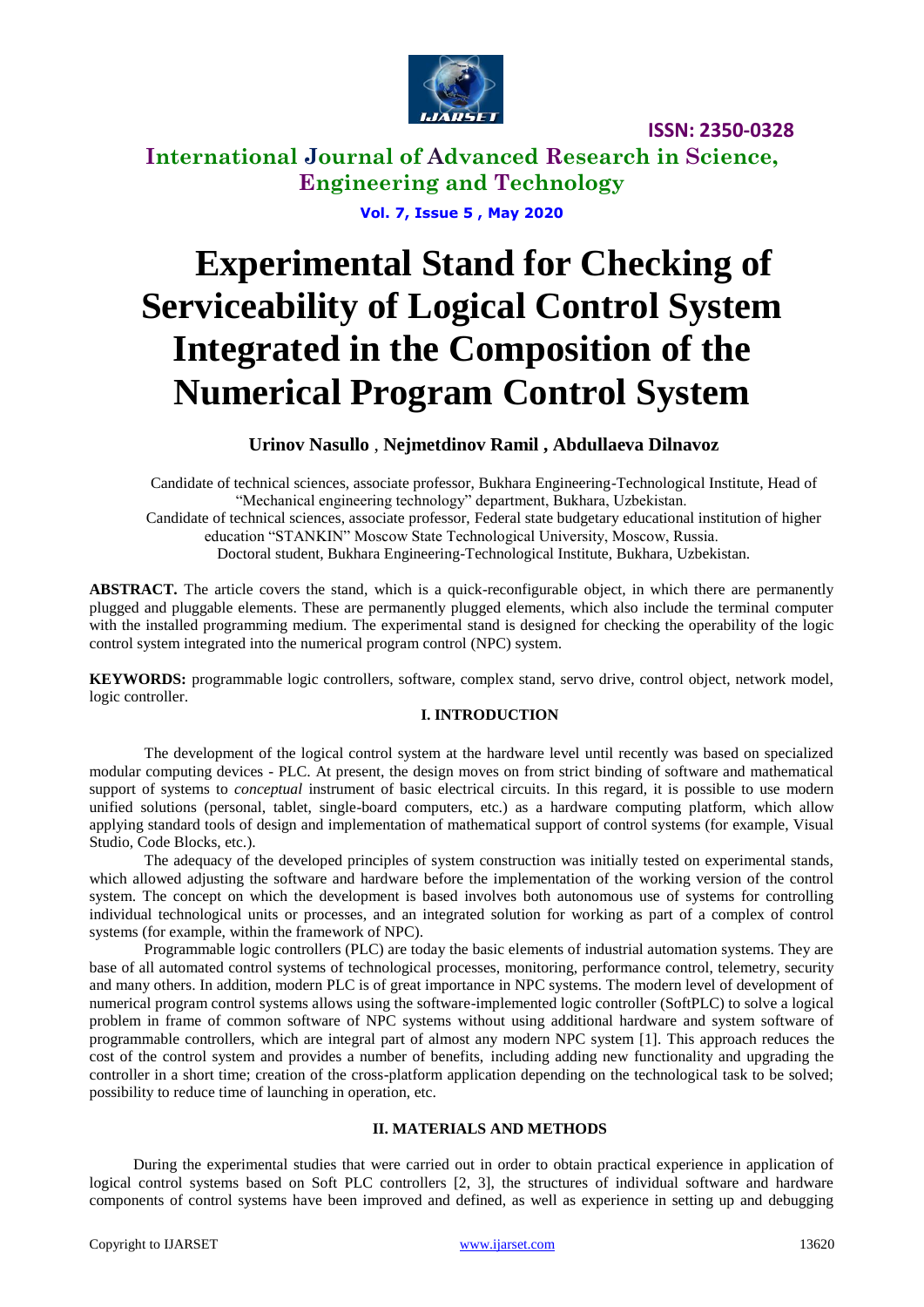

# **International Journal of Advanced Research in Science, Engineering and Technology**

**Vol. 7, Issue 5 , May 2020**

# **Experimental Stand for Checking of Serviceability of Logical Control System Integrated in the Composition of the Numerical Program Control System**

#### **Urinov Nasullo** , **Nejmetdinov Ramil , Abdullaeva Dilnavoz**

Candidate of technical sciences, associate professor, Bukhara Engineering-Technological Institute, Head of "Mechanical engineering technology" department, Bukhara, Uzbekistan. Candidate of technical sciences, associate professor, Federal state budgetary educational institution of higher education "STANKIN" Moscow State Technological University, Moscow, Russia.

Doctoral student, Bukhara Engineering-Technological Institute, Bukhara, Uzbekistan.

**ABSTRACT.** The article covers the stand, which is a quick-reconfigurable object, in which there are permanently plugged and pluggable elements. These are permanently plugged elements, which also include the terminal computer with the installed programming medium. The experimental stand is designed for checking the operability of the logic control system integrated into the numerical program control (NPC) system.

**KEYWORDS:** programmable logic controllers, software, complex stand, servo drive, control object, network model, logic controller.

#### **I. INTRODUCTION**

The development of the logical control system at the hardware level until recently was based on specialized modular computing devices - PLC. At present, the design moves on from strict binding of software and mathematical support of systems to *conceptual* instrument of basic electrical circuits. In this regard, it is possible to use modern unified solutions (personal, tablet, single-board computers, etc.) as a hardware computing platform, which allow applying standard tools of design and implementation of mathematical support of control systems (for example, Visual Studio, Code Blocks, etc.).

The adequacy of the developed principles of system construction was initially tested on experimental stands, which allowed adjusting the software and hardware before the implementation of the working version of the control system. The concept on which the development is based involves both autonomous use of systems for controlling individual technological units or processes, and an integrated solution for working as part of a complex of control systems (for example, within the framework of NPC).

Programmable logic controllers (PLC) are today the basic elements of industrial automation systems. They are base of all automated control systems of technological processes, monitoring, performance control, telemetry, security and many others. In addition, modern PLC is of great importance in NPC systems. The modern level of development of numerical program control systems allows using the software-implemented logic controller (SoftPLC) to solve a logical problem in frame of common software of NPC systems without using additional hardware and system software of programmable controllers, which are integral part of almost any modern NPC system [1]. This approach reduces the cost of the control system and provides a number of benefits, including adding new functionality and upgrading the controller in a short time; creation of the cross-platform application depending on the technological task to be solved; possibility to reduce time of launching in operation, etc.

#### **II. MATERIALS AND METHODS**

During the experimental studies that were carried out in order to obtain practical experience in application of logical control systems based on Soft PLC controllers [2, 3], the structures of individual software and hardware components of control systems have been improved and defined, as well as experience in setting up and debugging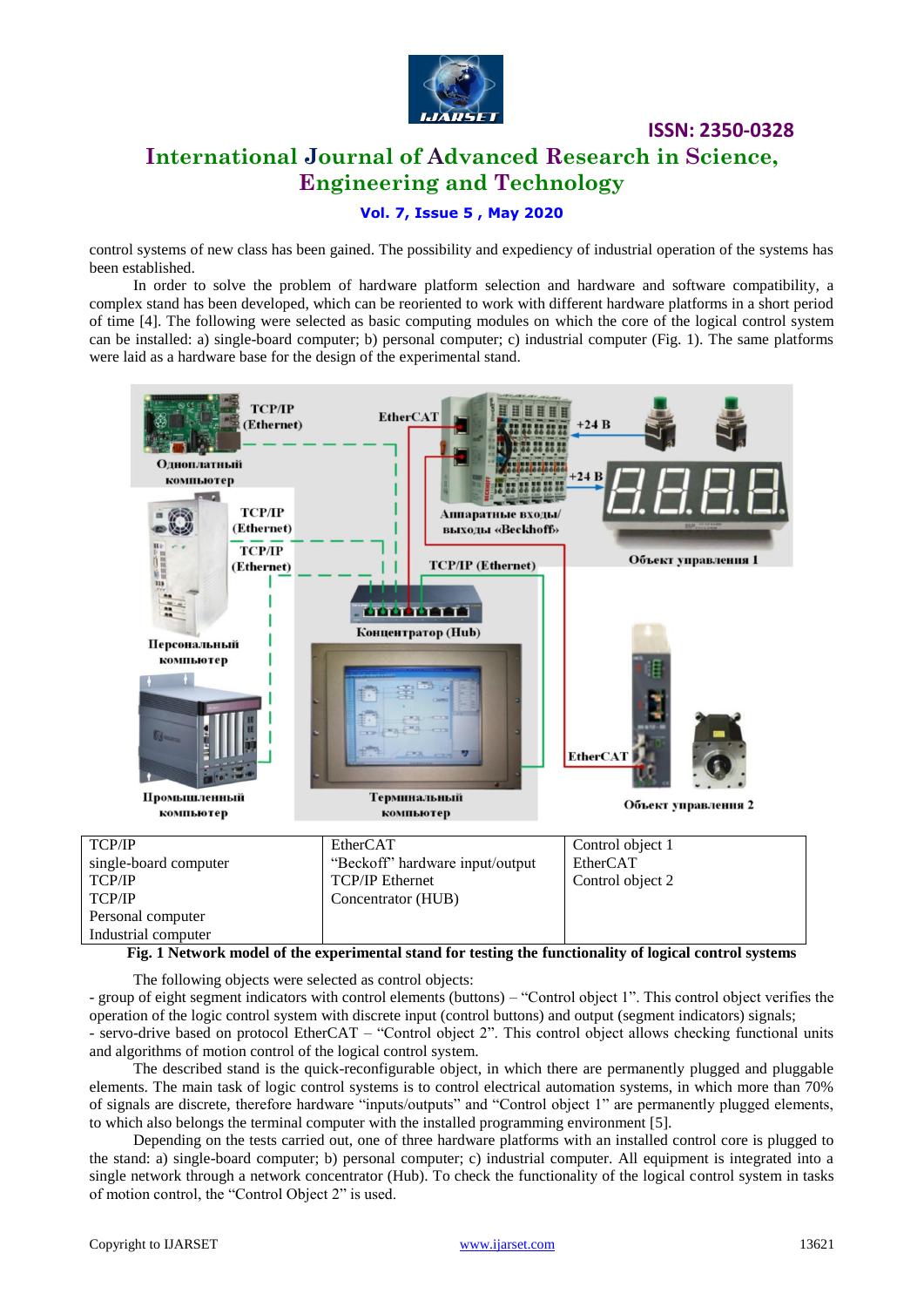

# **International Journal of Advanced Research in Science, Engineering and Technology**

**ISSN: 2350-0328**

#### **Vol. 7, Issue 5 , May 2020**

control systems of new class has been gained. The possibility and expediency of industrial operation of the systems has been established.

In order to solve the problem of hardware platform selection and hardware and software compatibility, a complex stand has been developed, which can be reoriented to work with different hardware platforms in a short period of time [4]. The following were selected as basic computing modules on which the core of the logical control system can be installed: a) single-board computer; b) personal computer; c) industrial computer (Fig. 1). The same platforms were laid as a hardware base for the design of the experimental stand.



#### **Fig. 1 Network model of the experimental stand for testing the functionality of logical control systems**

The following objects were selected as control objects:

- group of eight segment indicators with control elements (buttons) – "Control object 1". This control object verifies the operation of the logic control system with discrete input (control buttons) and output (segment indicators) signals; - servo-drive based on protocol EtherCAT – "Control object 2". This control object allows checking functional units and algorithms of motion control of the logical control system.

The described stand is the quick-reconfigurable object, in which there are permanently plugged and pluggable elements. The main task of logic control systems is to control electrical automation systems, in which more than 70% of signals are discrete, therefore hardware "inputs/outputs" and "Control object 1" are permanently plugged elements, to which also belongs the terminal computer with the installed programming environment [5].

Depending on the tests carried out, one of three hardware platforms with an installed control core is plugged to the stand: a) single-board computer; b) personal computer; c) industrial computer. All equipment is integrated into a single network through a network concentrator (Hub). To check the functionality of the logical control system in tasks of motion control, the "Control Object 2" is used.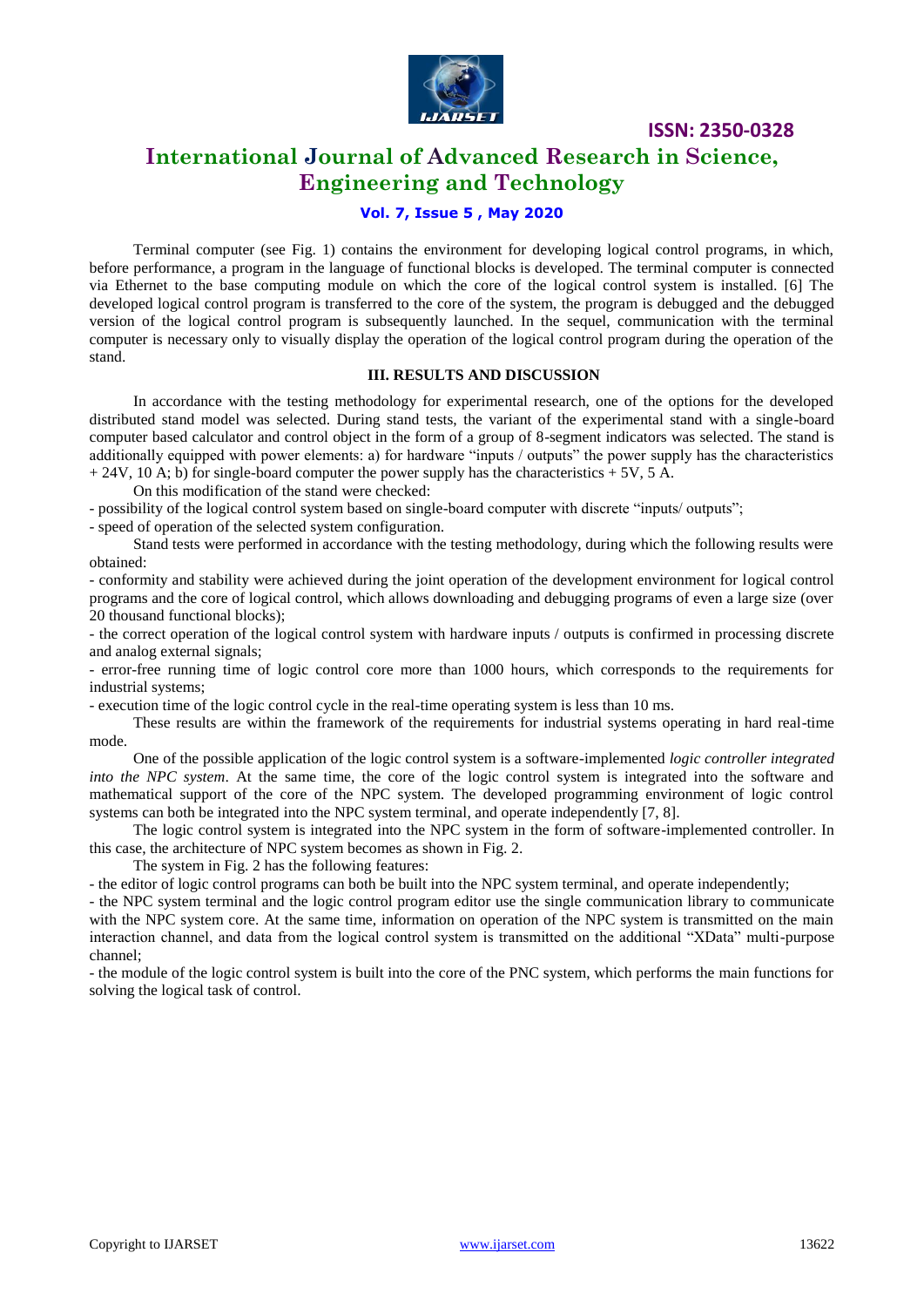

## **International Journal of Advanced Research in Science, Engineering and Technology**

#### **Vol. 7, Issue 5 , May 2020**

Terminal computer (see Fig. 1) contains the environment for developing logical control programs, in which, before performance, a program in the language of functional blocks is developed. The terminal computer is connected via Ethernet to the base computing module on which the core of the logical control system is installed. [6] The developed logical control program is transferred to the core of the system, the program is debugged and the debugged version of the logical control program is subsequently launched. In the sequel, communication with the terminal computer is necessary only to visually display the operation of the logical control program during the operation of the stand.

#### **III. RESULTS AND DISCUSSION**

In accordance with the testing methodology for experimental research, one of the options for the developed distributed stand model was selected. During stand tests, the variant of the experimental stand with a single-board computer based calculator and control object in the form of a group of 8-segment indicators was selected. The stand is additionally equipped with power elements: a) for hardware "inputs / outputs" the power supply has the characteristics  $+ 24V$ , 10 A; b) for single-board computer the power supply has the characteristics  $+ 5V$ , 5 A.

On this modification of the stand were checked:

- possibility of the logical control system based on single-board computer with discrete "inputs/ outputs";

- speed of operation of the selected system configuration.

Stand tests were performed in accordance with the testing methodology, during which the following results were obtained:

- conformity and stability were achieved during the joint operation of the development environment for logical control programs and the core of logical control, which allows downloading and debugging programs of even a large size (over 20 thousand functional blocks);

- the correct operation of the logical control system with hardware inputs / outputs is confirmed in processing discrete and analog external signals;

- error-free running time of logic control core more than 1000 hours, which corresponds to the requirements for industrial systems;

- execution time of the logic control cycle in the real-time operating system is less than 10 ms.

These results are within the framework of the requirements for industrial systems operating in hard real-time mode.

One of the possible application of the logic control system is a software-implemented *logic controller integrated into the NPC system*. At the same time, the core of the logic control system is integrated into the software and mathematical support of the core of the NPC system. The developed programming environment of logic control systems can both be integrated into the NPC system terminal, and operate independently [7, 8].

The logic control system is integrated into the NPC system in the form of software-implemented controller. In this case, the architecture of NPC system becomes as shown in Fig. 2.

The system in Fig. 2 has the following features:

- the editor of logic control programs can both be built into the NPC system terminal, and operate independently;

- the NPC system terminal and the logic control program editor use the single communication library to communicate with the NPC system core. At the same time, information on operation of the NPC system is transmitted on the main interaction channel, and data from the logical control system is transmitted on the additional "XData" multi-purpose channel;

- the module of the logic control system is built into the core of the PNC system, which performs the main functions for solving the logical task of control.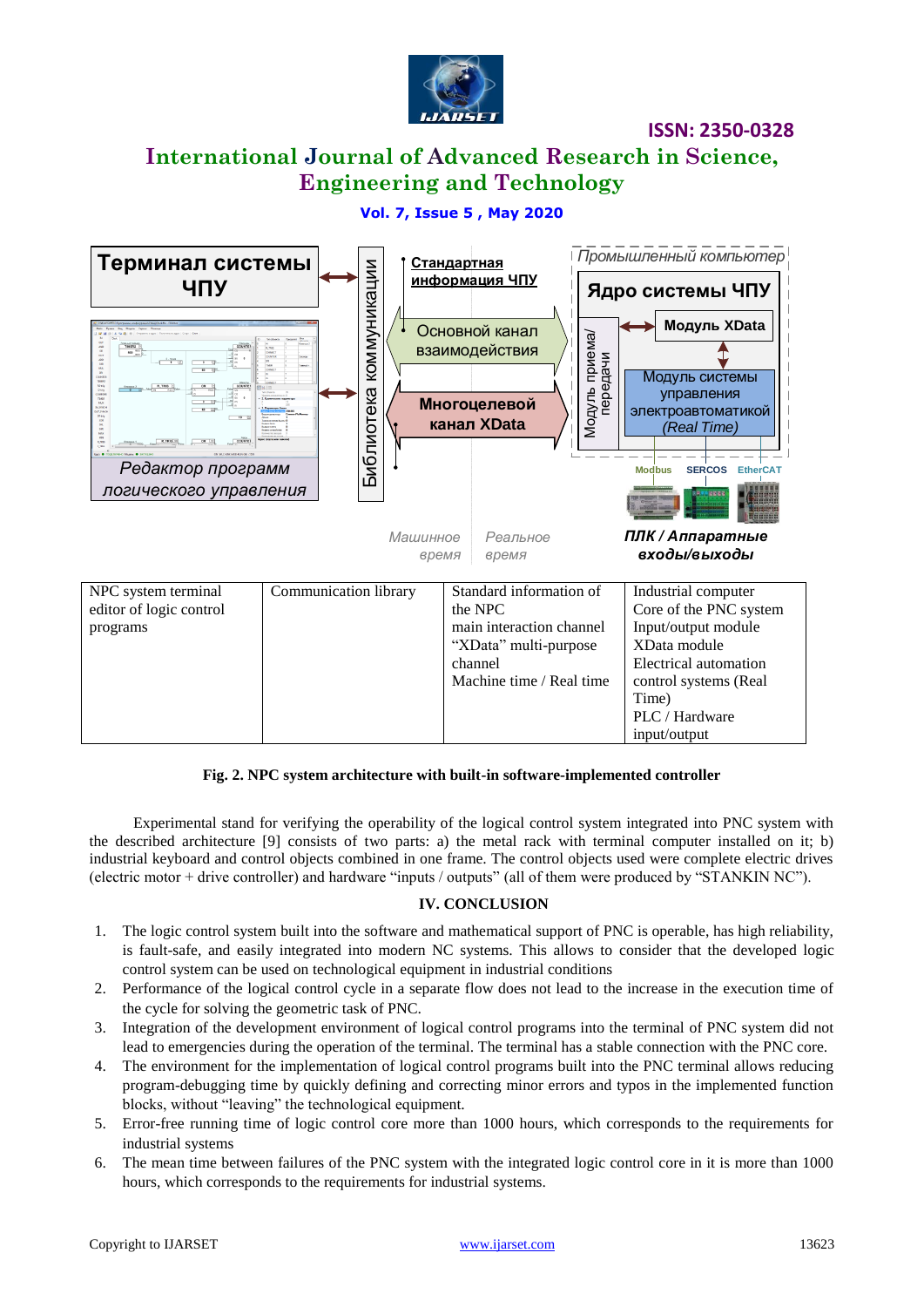

# **International Journal of Advanced Research in Science, Engineering and Technology**

#### **Vol. 7, Issue 5 , May 2020**



#### **Fig. 2. NPC system architecture with built-in software-implemented controller**

Experimental stand for verifying the operability of the logical control system integrated into PNC system with the described architecture [9] consists of two parts: a) the metal rack with terminal computer installed on it; b) industrial keyboard and control objects combined in one frame. The control objects used were complete electric drives (electric motor + drive controller) and hardware "inputs / outputs" (all of them were produced by "STANKIN NC").

#### **IV. CONCLUSION**

- 1. The logic control system built into the software and mathematical support of PNC is operable, has high reliability, is fault-safe, and easily integrated into modern NC systems. This allows to consider that the developed logic control system can be used on technological equipment in industrial conditions
- 2. Performance of the logical control cycle in a separate flow does not lead to the increase in the execution time of the cycle for solving the geometric task of PNC.
- 3. Integration of the development environment of logical control programs into the terminal of PNC system did not lead to emergencies during the operation of the terminal. The terminal has a stable connection with the PNC core.
- 4. The environment for the implementation of logical control programs built into the PNC terminal allows reducing program-debugging time by quickly defining and correcting minor errors and typos in the implemented function blocks, without "leaving" the technological equipment.
- 5. Error-free running time of logic control core more than 1000 hours, which corresponds to the requirements for industrial systems
- 6. The mean time between failures of the PNC system with the integrated logic control core in it is more than 1000 hours, which corresponds to the requirements for industrial systems.